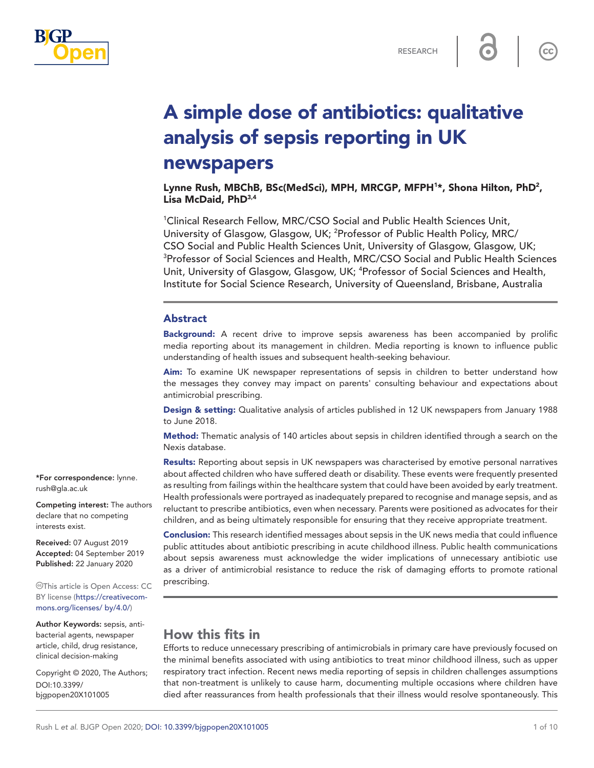

 $cc$ 

# A simple dose of antibiotics: qualitative analysis of sepsis reporting in UK newspapers

Lynne Rush, MBChB, BSc(MedSci), MPH, MRCGP, MFPH<sup>1\*</sup>, Shona Hilton, PhD<sup>2</sup>, Lisa McDaid, PhD<sup>3,4</sup>

1 Clinical Research Fellow, MRC/CSO Social and Public Health Sciences Unit, University of Glasgow, Glasgow, UK; <sup>2</sup>Professor of Public Health Policy, MRC/ CSO Social and Public Health Sciences Unit, University of Glasgow, Glasgow, UK; 3 Professor of Social Sciences and Health, MRC/CSO Social and Public Health Sciences Unit, University of Glasgow, Glasgow, UK; <sup>4</sup>Professor of Social Sciences and Health, Institute for Social Science Research, University of Queensland, Brisbane, Australia

### Abstract

**Background:** A recent drive to improve sepsis awareness has been accompanied by prolific media reporting about its management in children. Media reporting is known to influence public understanding of health issues and subsequent health-seeking behaviour.

Aim: To examine UK newspaper representations of sepsis in children to better understand how the messages they convey may impact on parents' consulting behaviour and expectations about antimicrobial prescribing.

Design & setting: Qualitative analysis of articles published in 12 UK newspapers from January 1988 to June 2018.

Method: Thematic analysis of 140 articles about sepsis in children identified through a search on the Nexis database.

Results: Reporting about sepsis in UK newspapers was characterised by emotive personal narratives about affected children who have suffered death or disability. These events were frequently presented as resulting from failings within the healthcare system that could have been avoided by early treatment. Health professionals were portrayed as inadequately prepared to recognise and manage sepsis, and as reluctant to prescribe antibiotics, even when necessary. Parents were positioned as advocates for their children, and as being ultimately responsible for ensuring that they receive appropriate treatment.

Conclusion: This research identified messages about sepsis in the UK news media that could influence public attitudes about antibiotic prescribing in acute childhood illness. Public health communications about sepsis awareness must acknowledge the wider implications of unnecessary antibiotic use as a driver of antimicrobial resistance to reduce the risk of damaging efforts to promote rational prescribing.

# How this fits in

Efforts to reduce unnecessary prescribing of antimicrobials in primary care have previously focused on the minimal benefits associated with using antibiotics to treat minor childhood illness, such as upper respiratory tract infection. Recent news media reporting of sepsis in children challenges assumptions that non-treatment is unlikely to cause harm, documenting multiple occasions where children have died after reassurances from health professionals that their illness would resolve spontaneously. This

\*For correspondence: [lynne.](mailto:lynne.rush@gla.ac.uk) [rush@gla.ac.uk](mailto:lynne.rush@gla.ac.uk)

Competing interest: The authors declare that no competing interests exist.

Received: 07 August 2019 Accepted: 04 September 2019 Published: 22 January 2020

This article is Open Access: CC BY license [\(https://creativecom](https://creativecommons.org/licenses/%20by/4.0/)[mons.org/licenses/ by/4.0/](https://creativecommons.org/licenses/%20by/4.0/))

Author Keywords: sepsis, antibacterial agents, newspaper article, child, drug resistance, clinical decision-making

Copyright © 2020, The Authors; DOI:10.3399/ bjgpopen20X101005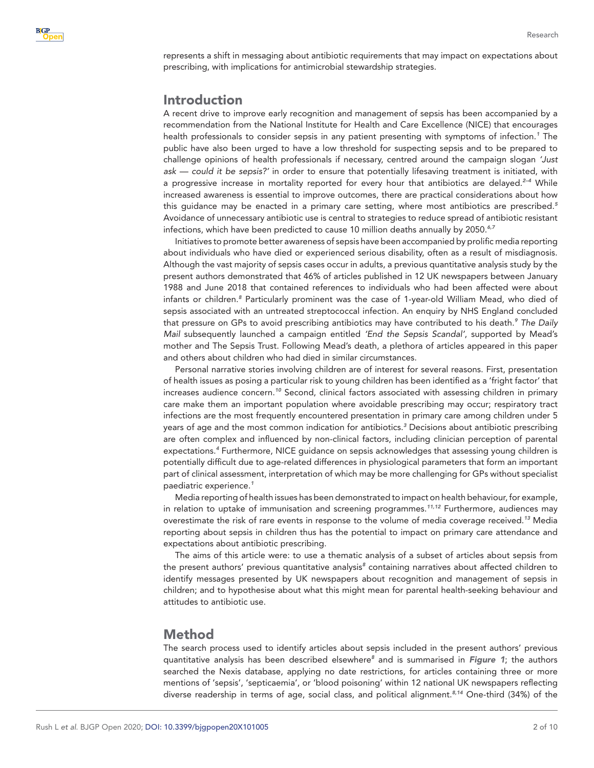represents a shift in messaging about antibiotic requirements that may impact on expectations about prescribing, with implications for antimicrobial stewardship strategies.

# Introduction

A recent drive to improve early recognition and management of sepsis has been accompanied by a recommendation from the National Institute for Health and Care Excellence (NICE) that encourages health professionals to consider sepsis in any patient presenting with symptoms of infection.*[1](#page-8-0)* The public have also been urged to have a low threshold for suspecting sepsis and to be prepared to challenge opinions of health professionals if necessary, centred around the campaign slogan *'Just ask — could it be sepsis?'* in order to ensure that potentially lifesaving treatment is initiated, with a progressive increase in mortality reported for every hour that antibiotics are delayed.*[2–4](#page-8-1)* While increased awareness is essential to improve outcomes, there are practical considerations about how this guidance may be enacted in a primary care setting, where most antibiotics are prescribed.*[5](#page-8-2)* Avoidance of unnecessary antibiotic use is central to strategies to reduce spread of antibiotic resistant infections, which have been predicted to cause 10 million deaths annually by 2050.*[6,7](#page-8-3)*

Initiatives to promote better awareness of sepsis have been accompanied by prolific media reporting about individuals who have died or experienced serious disability, often as a result of misdiagnosis. Although the vast majority of sepsis cases occur in adults, a previous quantitative analysis study by the present authors demonstrated that 46% of articles published in 12 UK newspapers between January 1988 and June 2018 that contained references to individuals who had been affected were about infants or children.*[8](#page-8-4)* Particularly prominent was the case of 1-year-old William Mead, who died of sepsis associated with an untreated streptococcal infection. An enquiry by NHS England concluded that pressure on GPs to avoid prescribing antibiotics may have contributed to his death.*[9](#page-8-5) The Daily Mail* subsequently launched a campaign entitled *'End the Sepsis Scandal'*, supported by Mead's mother and The Sepsis Trust. Following Mead's death, a plethora of articles appeared in this paper and others about children who had died in similar circumstances.

Personal narrative stories involving children are of interest for several reasons. First, presentation of health issues as posing a particular risk to young children has been identified as a 'fright factor' that increases audience concern.*[10](#page-8-6)* Second, clinical factors associated with assessing children in primary care make them an important population where avoidable prescribing may occur; respiratory tract infections are the most frequently encountered presentation in primary care among children under 5 years of age and the most common indication for antibiotics.*[3](#page-8-7)* Decisions about antibiotic prescribing are often complex and influenced by non-clinical factors, including clinician perception of parental expectations.*[4](#page-8-8)* Furthermore, NICE guidance on sepsis acknowledges that assessing young children is potentially difficult due to age-related differences in physiological parameters that form an important part of clinical assessment, interpretation of which may be more challenging for GPs without specialist paediatric experience.*[1](#page-8-0)*

Media reporting of health issues has been demonstrated to impact on health behaviour, for example, in relation to uptake of immunisation and screening programmes.*[11,12](#page-8-9)* Furthermore, audiences may overestimate the risk of rare events in response to the volume of media coverage received.*[13](#page-9-0)* Media reporting about sepsis in children thus has the potential to impact on primary care attendance and expectations about antibiotic prescribing.

The aims of this article were: to use a thematic analysis of a subset of articles about sepsis from the present authors' previous quantitative analysis*[8](#page-8-4)* containing narratives about affected children to identify messages presented by UK newspapers about recognition and management of sepsis in children; and to hypothesise about what this might mean for parental health-seeking behaviour and attitudes to antibiotic use.

# Method

The search process used to identify articles about sepsis included in the present authors' previous quantitative analysis has been described elsewhere*[8](#page-8-4)* and is summarised in *[Figure 1](#page-2-0)*; the authors searched the Nexis database, applying no date restrictions, for articles containing three or more mentions of 'sepsis', 'septicaemia', or 'blood poisoning' within 12 national UK newspapers reflecting diverse readership in terms of age, social class, and political alignment.*[8,14](#page-8-4)* One-third (34%) of the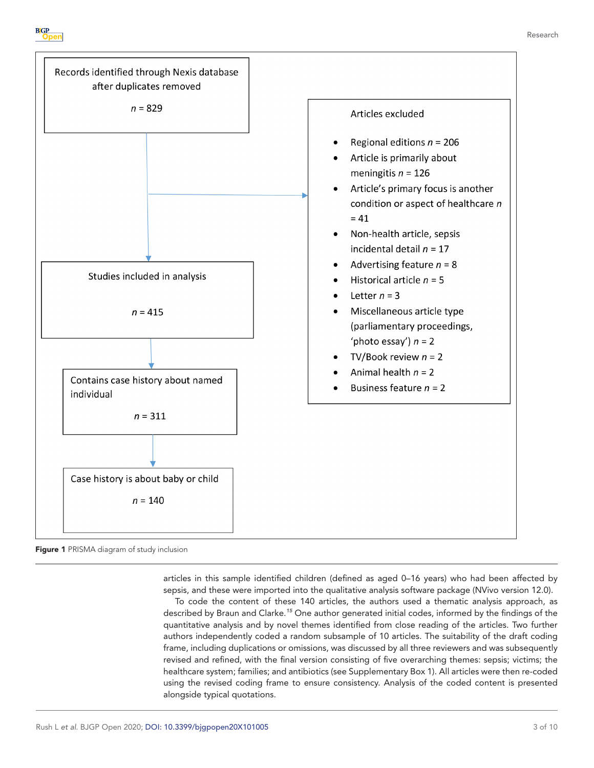



<span id="page-2-0"></span>Figure 1 PRISMA diagram of study inclusion

articles in this sample identified children (defined as aged 0–16 years) who had been affected by sepsis, and these were imported into the qualitative analysis software package (NVivo version 12.0).

To code the content of these 140 articles, the authors used a thematic analysis approach, as described by Braun and Clarke.*[15](#page-9-1)* One author generated initial codes, informed by the findings of the quantitative analysis and by novel themes identified from close reading of the articles. Two further authors independently coded a random subsample of 10 articles. The suitability of the draft coding frame, including duplications or omissions, was discussed by all three reviewers and was subsequently revised and refined, with the final version consisting of five overarching themes: sepsis; victims; the healthcare system; families; and antibiotics (see Supplementary Box 1). All articles were then re-coded using the revised coding frame to ensure consistency. Analysis of the coded content is presented alongside typical quotations.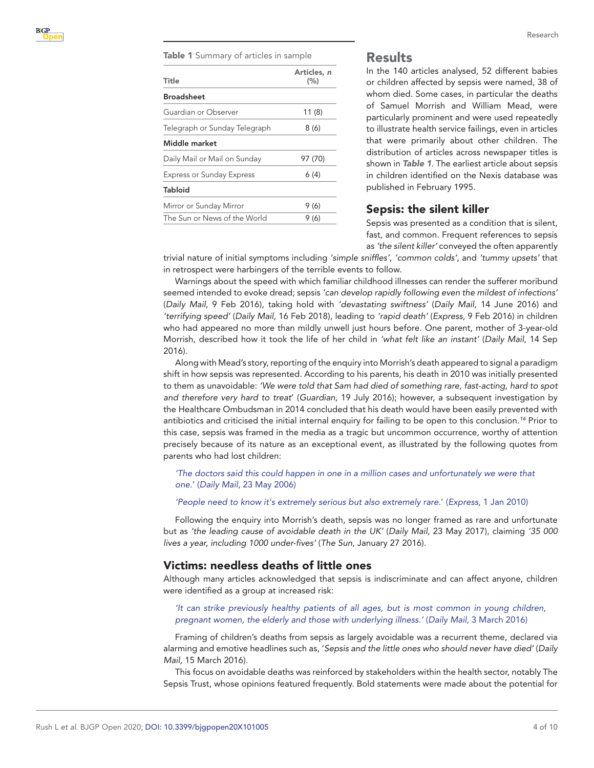<span id="page-3-0"></span>Table 1 Summary of articles in sample

| Title                            | Articles, n<br>(%) |
|----------------------------------|--------------------|
| <b>Broadsheet</b>                |                    |
| Guardian or Observer             | 11(8)              |
| Telegraph or Sunday Telegraph    | 8 (6)              |
| Middle market                    |                    |
| Daily Mail or Mail on Sunday     | 97 (70)            |
| <b>Express or Sunday Express</b> | 6 (4)              |
| <b>Tabloid</b>                   |                    |
| Mirror or Sunday Mirror          | 9(6)               |
| The Sun or News of the World     | 9 (6)              |

## Results

In the 140 articles analysed, 52 different babies or children affected by sepsis were named, 38 of whom died. Some cases, in particular the deaths of Samuel Morrish and William Mead, were particularly prominent and were used repeatedly to illustrate health service failings, even in articles that were primarily about other children. The distribution of articles across newspaper titles is shown in *[Table 1](#page-3-0)*. The earliest article about sepsis in children identified on the Nexis database was published in February 1995.

## Sepsis: the silent killer

Sepsis was presented as a condition that is silent, fast, and common. Frequent references to sepsis as *'the silent killer'* conveyed the often apparently

trivial nature of initial symptoms including *'simple sniffles'*, *'common colds'*, and *'tummy upsets'* that in retrospect were harbingers of the terrible events to follow.

Warnings about the speed with which familiar childhood illnesses can render the sufferer moribund seemed intended to evoke dread; sepsis *'can develop rapidly following even the mildest of infections'* (*Daily Mail*, 9 Feb 2016), taking hold with *'devastating swiftness'* (*Daily Mail*, 14 June 2016) and *'terrifying speed'* (*Daily Mail*, 16 Feb 2018), leading to *'rapid death'* (*Express*, 9 Feb 2016) in children who had appeared no more than mildly unwell just hours before. One parent, mother of 3-year-old Morrish, described how it took the life of her child in *'what felt like an instant'* (*Daily Mail*, 14 Sep 2016).

Along with Mead's story, reporting of the enquiry into Morrish's death appeared to signal a paradigm shift in how sepsis was represented. According to his parents, his death in 2010 was initially presented to them as unavoidable: *'We were told that Sam had died of something rare, fast-acting, hard to spot and therefore very hard to treat*' (*Guardian*, 19 July 2016); however, a subsequent investigation by the Healthcare Ombudsman in 2014 concluded that his death would have been easily prevented with antibiotics and criticised the initial internal enquiry for failing to be open to this conclusion.*[16](#page-9-2)* Prior to this case, sepsis was framed in the media as a tragic but uncommon occurrence, worthy of attention precisely because of its nature as an exceptional event, as illustrated by the following quotes from parents who had lost children:

*'The doctors said this could happen in one in a million cases and unfortunately we were that one.*' (*Daily Mail*, 23 May 2006)

#### *'People need to know it's extremely serious but also extremely rare.*' (*Express*, 1 Jan 2010)

Following the enquiry into Morrish's death, sepsis was no longer framed as rare and unfortunate but as *'the leading cause of avoidable death in the UK'* (*Daily Mail*, 23 May 2017), claiming *'35 000 lives a year, including 1000 under-fives'* (*The Sun*, January 27 2016).

### Victims: needless deaths of little ones

Although many articles acknowledged that sepsis is indiscriminate and can affect anyone, children were identified as a group at increased risk:

*'It can strike previously healthy patients of all ages, but is most common in young children, pregnant women, the elderly and those with underlying illness.'* (*Daily Mail*, 3 March 2016)

Framing of children's deaths from sepsis as largely avoidable was a recurrent theme, declared via alarming and emotive headlines such as, '*Sepsis and the little ones who should never have died'* (*Daily Mail*, 15 March 2016).

This focus on avoidable deaths was reinforced by stakeholders within the health sector, notably The Sepsis Trust, whose opinions featured frequently. Bold statements were made about the potential for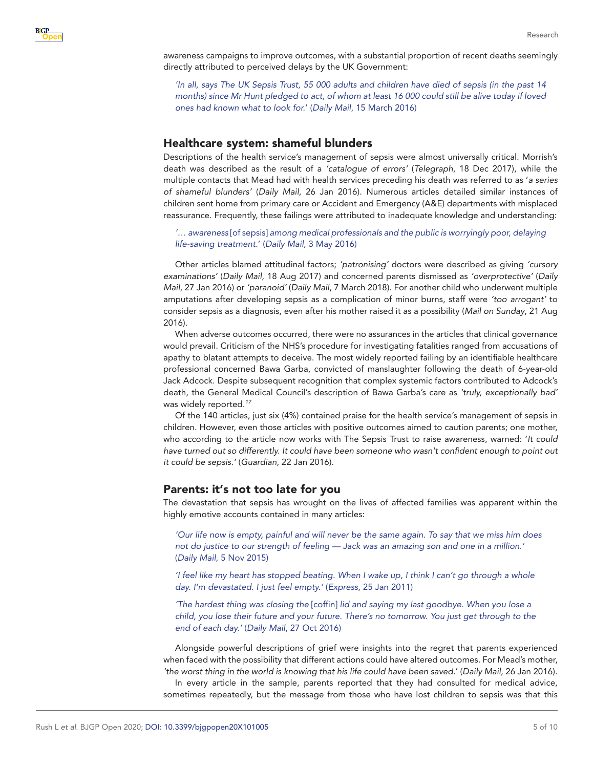awareness campaigns to improve outcomes, with a substantial proportion of recent deaths seemingly directly attributed to perceived delays by the UK Government:

*'In all, says The UK Sepsis Trust, 55 000 adults and children have died of sepsis (in the past 14 months) since Mr Hunt pledged to act, of whom at least 16 000 could still be alive today if loved ones had known what to look for.*' (*Daily Mail*, 15 March 2016)

## Healthcare system: shameful blunders

Descriptions of the health service's management of sepsis were almost universally critical. Morrish's death was described as the result of a *'catalogue of errors'* (*Telegraph*, 18 Dec 2017), while the multiple contacts that Mead had with health services preceding his death was referred to as '*a series of shameful blunders'* (*Daily Mail*, 26 Jan 2016). Numerous articles detailed similar instances of children sent home from primary care or Accident and Emergency (A&E) departments with misplaced reassurance. Frequently, these failings were attributed to inadequate knowledge and understanding:

*'… awareness* [of sepsis] *among medical professionals and the public is worryingly poor, delaying life-saving treatment.*' (*Daily Mail*, 3 May 2016)

Other articles blamed attitudinal factors; *'patronising'* doctors were described as giving *'cursory examinations'* (*Daily Mail*, 18 Aug 2017) and concerned parents dismissed as *'overprotective'* (*Daily Mail*, 27 Jan 2016) or *'paranoid'* (*Daily Mail*, 7 March 2018). For another child who underwent multiple amputations after developing sepsis as a complication of minor burns, staff were *'too arrogant'* to consider sepsis as a diagnosis, even after his mother raised it as a possibility (*Mail on Sunday*, 21 Aug 2016).

When adverse outcomes occurred, there were no assurances in the articles that clinical governance would prevail. Criticism of the NHS's procedure for investigating fatalities ranged from accusations of apathy to blatant attempts to deceive. The most widely reported failing by an identifiable healthcare professional concerned Bawa Garba, convicted of manslaughter following the death of 6-year-old Jack Adcock. Despite subsequent recognition that complex systemic factors contributed to Adcock's death, the General Medical Council's description of Bawa Garba's care as *'truly, exceptionally bad'* was widely reported.*[17](#page-9-3)*

Of the 140 articles, just six (4%) contained praise for the health service's management of sepsis in children. However, even those articles with positive outcomes aimed to caution parents; one mother, who according to the article now works with The Sepsis Trust to raise awareness, warned: '*It could have turned out so differently. It could have been someone who wasn't confident enough to point out it could be sepsis.'* (*Guardian*, 22 Jan 2016).

### Parents: it's not too late for you

The devastation that sepsis has wrought on the lives of affected families was apparent within the highly emotive accounts contained in many articles:

*'Our life now is empty, painful and will never be the same again. To say that we miss him does not do justice to our strength of feeling — Jack was an amazing son and one in a million.'* (*Daily Mail*, 5 Nov 2015)

*'I feel like my heart has stopped beating. When I wake up, I think I can't go through a whole day. I'm devastated. I just feel empty.'* (*Express*, 25 Jan 2011)

*'The hardest thing was closing the* [coffin] *lid and saying my last goodbye. When you lose a child, you lose their future and your future. There's no tomorrow. You just get through to the end of each day.'* (*Daily Mail*, 27 Oct 2016)

Alongside powerful descriptions of grief were insights into the regret that parents experienced when faced with the possibility that different actions could have altered outcomes. For Mead's mother, *'the worst thing in the world is knowing that his life could have been saved.*' (*Daily Mail*, 26 Jan 2016).

In every article in the sample, parents reported that they had consulted for medical advice, sometimes repeatedly, but the message from those who have lost children to sepsis was that this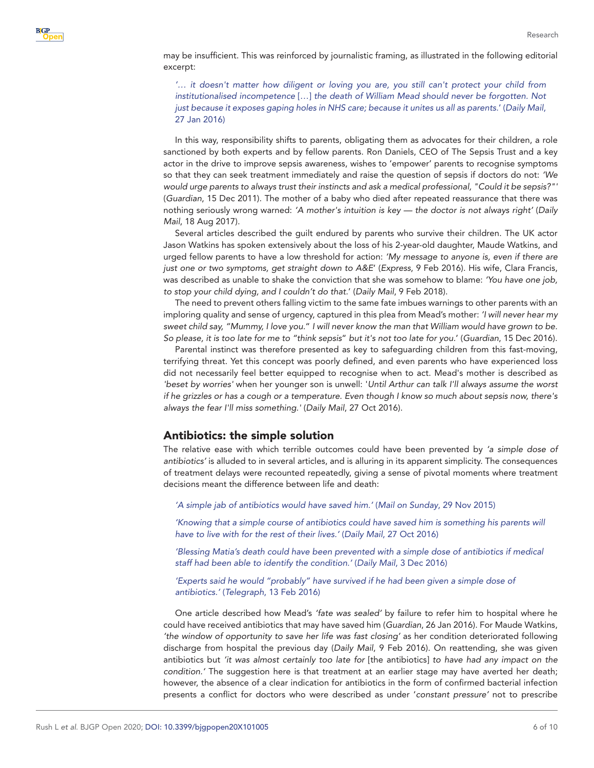may be insufficient. This was reinforced by journalistic framing, as illustrated in the following editorial excerpt:

*'… it doesn't matter how diligent or loving you are, you still can't protect your child from institutionalised incompetence* […] *the death of William Mead should never be forgotten. Not just because it exposes gaping holes in NHS care; because it unites us all as parents.*' (*Daily Mail*, 27 Jan 2016)

In this way, responsibility shifts to parents, obligating them as advocates for their children, a role sanctioned by both experts and by fellow parents. Ron Daniels, CEO of The Sepsis Trust and a key actor in the drive to improve sepsis awareness, wishes to 'empower' parents to recognise symptoms so that they can seek treatment immediately and raise the question of sepsis if doctors do not: *'We would urge parents to always trust their instincts and ask a medical professional, "Could it be sepsis?"'* (*Guardian*, 15 Dec 2011). The mother of a baby who died after repeated reassurance that there was nothing seriously wrong warned: *'A mother's intuition is key — the doctor is not always right'* (*Daily Mail*, 18 Aug 2017).

Several articles described the guilt endured by parents who survive their children. The UK actor Jason Watkins has spoken extensively about the loss of his 2-year-old daughter, Maude Watkins, and urged fellow parents to have a low threshold for action: *'My message to anyone is, even if there are just one or two symptoms, get straight down to A&E*' (*Express*, 9 Feb 2016). His wife, Clara Francis, was described as unable to shake the conviction that she was somehow to blame: *'You have one job, to stop your child dying, and I couldn't do that.*' (*Daily Mail*, 9 Feb 2018).

The need to prevent others falling victim to the same fate imbues warnings to other parents with an imploring quality and sense of urgency, captured in this plea from Mead's mother: *'I will never hear my sweet child say, "Mummy, I love you.*" *I will never know the man that William would have grown to be. So please, it is too late for me to "think sepsis*" *but it's not too late for you.*' (*Guardian*, 15 Dec 2016).

Parental instinct was therefore presented as key to safeguarding children from this fast-moving, terrifying threat. Yet this concept was poorly defined, and even parents who have experienced loss did not necessarily feel better equipped to recognise when to act. Mead's mother is described as *'beset by worries'* when her younger son is unwell: '*Until Arthur can talk I'll always assume the worst if he grizzles or has a cough or a temperature. Even though I know so much about sepsis now, there's always the fear I'll miss something.'* (*Daily Mail*, 27 Oct 2016).

### Antibiotics: the simple solution

The relative ease with which terrible outcomes could have been prevented by *'a simple dose of antibiotics'* is alluded to in several articles, and is alluring in its apparent simplicity. The consequences of treatment delays were recounted repeatedly, giving a sense of pivotal moments where treatment decisions meant the difference between life and death:

*'A simple jab of antibiotics would have saved him.'* (*Mail on Sunday*, 29 Nov 2015)

'Knowing that a simple course of antibiotics could have saved him is something his parents will *have to live with for the rest of their lives.'* (*Daily Mail*, 27 Oct 2016)

*'Blessing Matia's death could have been prevented with a simple dose of antibiotics if medical staff had been able to identify the condition.'* (*Daily Mail*, 3 Dec 2016)

'Experts said he would "probably" have survived if he had been given a simple dose of *antibiotics.'* (*Telegraph*, 13 Feb 2016)

One article described how Mead's *'fate was sealed'* by failure to refer him to hospital where he could have received antibiotics that may have saved him (*Guardian*, 26 Jan 2016). For Maude Watkins, *'the window of opportunity to save her life was fast closing'* as her condition deteriorated following discharge from hospital the previous day (*Daily Mail*, 9 Feb 2016). On reattending, she was given antibiotics but *'it was almost certainly too late for* [the antibiotics] *to have had any impact on the condition.'* The suggestion here is that treatment at an earlier stage may have averted her death; however, the absence of a clear indication for antibiotics in the form of confirmed bacterial infection presents a conflict for doctors who were described as under '*constant pressure'* not to prescribe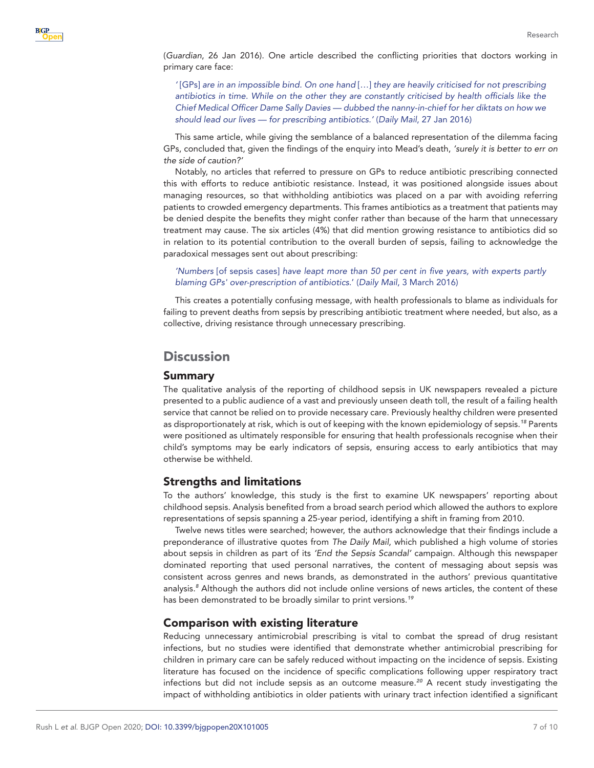(*Guardian*, 26 Jan 2016). One article described the conflicting priorities that doctors working in primary care face:

*'* [GPs] *are in an impossible bind. On one hand* […] *they are heavily criticised for not prescribing antibiotics in time. While on the other they are constantly criticised by health officials like the Chief Medical Officer Dame Sally Davies — dubbed the nanny-in-chief for her diktats on how we should lead our lives — for prescribing antibiotics.'* (*Daily Mail*, 27 Jan 2016)

This same article, while giving the semblance of a balanced representation of the dilemma facing GPs, concluded that, given the findings of the enquiry into Mead's death, *'surely it is better to err on the side of caution?'*

Notably, no articles that referred to pressure on GPs to reduce antibiotic prescribing connected this with efforts to reduce antibiotic resistance. Instead, it was positioned alongside issues about managing resources, so that withholding antibiotics was placed on a par with avoiding referring patients to crowded emergency departments. This frames antibiotics as a treatment that patients may be denied despite the benefits they might confer rather than because of the harm that unnecessary treatment may cause. The six articles (4%) that did mention growing resistance to antibiotics did so in relation to its potential contribution to the overall burden of sepsis, failing to acknowledge the paradoxical messages sent out about prescribing:

*'Numbers* [of sepsis cases] *have leapt more than 50 per cent in five years, with experts partly blaming GPs' over-prescription of antibiotics*.' (*Daily Mail*, 3 March 2016)

This creates a potentially confusing message, with health professionals to blame as individuals for failing to prevent deaths from sepsis by prescribing antibiotic treatment where needed, but also, as a collective, driving resistance through unnecessary prescribing.

# **Discussion**

#### Summary

The qualitative analysis of the reporting of childhood sepsis in UK newspapers revealed a picture presented to a public audience of a vast and previously unseen death toll, the result of a failing health service that cannot be relied on to provide necessary care. Previously healthy children were presented as disproportionately at risk, which is out of keeping with the known epidemiology of sepsis.*[18](#page-9-4)* Parents were positioned as ultimately responsible for ensuring that health professionals recognise when their child's symptoms may be early indicators of sepsis, ensuring access to early antibiotics that may otherwise be withheld.

### Strengths and limitations

To the authors' knowledge, this study is the first to examine UK newspapers' reporting about childhood sepsis. Analysis benefited from a broad search period which allowed the authors to explore representations of sepsis spanning a 25-year period, identifying a shift in framing from 2010.

Twelve news titles were searched; however, the authors acknowledge that their findings include a preponderance of illustrative quotes from *The Daily Mail*, which published a high volume of stories about sepsis in children as part of its *'End the Sepsis Scandal'* campaign. Although this newspaper dominated reporting that used personal narratives, the content of messaging about sepsis was consistent across genres and news brands, as demonstrated in the authors' previous quantitative analysis.*[8](#page-8-4)* Although the authors did not include online versions of news articles, the content of these has been demonstrated to be broadly similar to print versions.*[19](#page-9-5)*

## Comparison with existing literature

Reducing unnecessary antimicrobial prescribing is vital to combat the spread of drug resistant infections, but no studies were identified that demonstrate whether antimicrobial prescribing for children in primary care can be safely reduced without impacting on the incidence of sepsis. Existing literature has focused on the incidence of specific complications following upper respiratory tract infections but did not include sepsis as an outcome measure.*[20](#page-9-6)* A recent study investigating the impact of withholding antibiotics in older patients with urinary tract infection identified a significant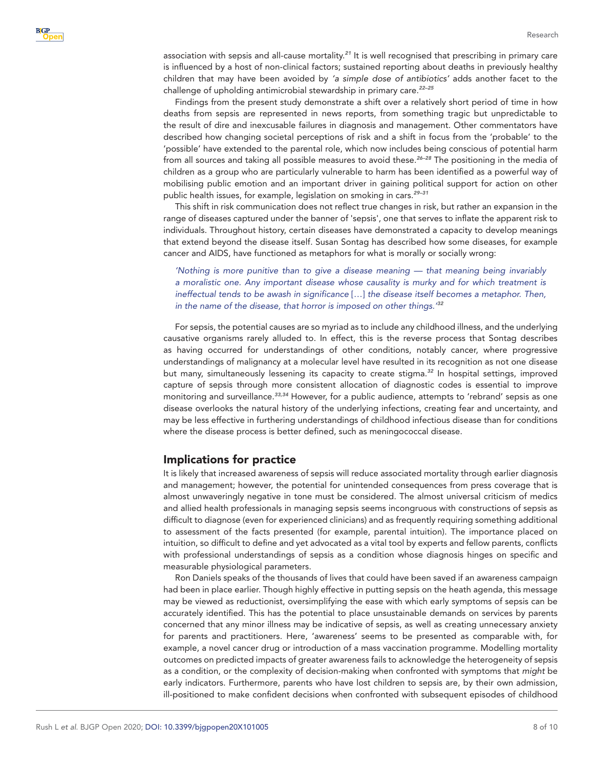association with sepsis and all-cause mortality.*[21](#page-9-7)* It is well recognised that prescribing in primary care is influenced by a host of non-clinical factors; sustained reporting about deaths in previously healthy children that may have been avoided by *'a simple dose of antibiotics'* adds another facet to the challenge of upholding antimicrobial stewardship in primary care.*[22–25](#page-9-8)*

Findings from the present study demonstrate a shift over a relatively short period of time in how deaths from sepsis are represented in news reports, from something tragic but unpredictable to the result of dire and inexcusable failures in diagnosis and management. Other commentators have described how changing societal perceptions of risk and a shift in focus from the 'probable' to the 'possible' have extended to the parental role, which now includes being conscious of potential harm from all sources and taking all possible measures to avoid these.*[26–28](#page-9-9)* The positioning in the media of children as a group who are particularly vulnerable to harm has been identified as a powerful way of mobilising public emotion and an important driver in gaining political support for action on other public health issues, for example, legislation on smoking in cars.*[29–31](#page-9-10)*

This shift in risk communication does not reflect true changes in risk, but rather an expansion in the range of diseases captured under the banner of 'sepsis', one that serves to inflate the apparent risk to individuals. Throughout history, certain diseases have demonstrated a capacity to develop meanings that extend beyond the disease itself. Susan Sontag has described how some diseases, for example cancer and AIDS, have functioned as metaphors for what is morally or socially wrong:

*'Nothing is more punitive than to give a disease meaning — that meaning being invariably a moralistic one. Any important disease whose causality is murky and for which treatment is ineffectual tends to be awash in significance* […] *the disease itself becomes a metaphor. Then, in the name of the disease, that horror is imposed on other things.' [32](#page-9-11)*

For sepsis, the potential causes are so myriad as to include any childhood illness, and the underlying causative organisms rarely alluded to. In effect, this is the reverse process that Sontag describes as having occurred for understandings of other conditions, notably cancer, where progressive understandings of malignancy at a molecular level have resulted in its recognition as not one disease but many, simultaneously lessening its capacity to create stigma.*[32](#page-9-11)* In hospital settings, improved capture of sepsis through more consistent allocation of diagnostic codes is essential to improve monitoring and surveillance.*[33,34](#page-9-12)* However, for a public audience, attempts to 'rebrand' sepsis as one disease overlooks the natural history of the underlying infections, creating fear and uncertainty, and may be less effective in furthering understandings of childhood infectious disease than for conditions where the disease process is better defined, such as meningococcal disease.

### Implications for practice

It is likely that increased awareness of sepsis will reduce associated mortality through earlier diagnosis and management; however, the potential for unintended consequences from press coverage that is almost unwaveringly negative in tone must be considered. The almost universal criticism of medics and allied health professionals in managing sepsis seems incongruous with constructions of sepsis as difficult to diagnose (even for experienced clinicians) and as frequently requiring something additional to assessment of the facts presented (for example, parental intuition). The importance placed on intuition, so difficult to define and yet advocated as a vital tool by experts and fellow parents, conflicts with professional understandings of sepsis as a condition whose diagnosis hinges on specific and measurable physiological parameters.

Ron Daniels speaks of the thousands of lives that could have been saved if an awareness campaign had been in place earlier. Though highly effective in putting sepsis on the heath agenda, this message may be viewed as reductionist, oversimplifying the ease with which early symptoms of sepsis can be accurately identified. This has the potential to place unsustainable demands on services by parents concerned that any minor illness may be indicative of sepsis, as well as creating unnecessary anxiety for parents and practitioners. Here, 'awareness' seems to be presented as comparable with, for example, a novel cancer drug or introduction of a mass vaccination programme. Modelling mortality outcomes on predicted impacts of greater awareness fails to acknowledge the heterogeneity of sepsis as a condition, or the complexity of decision-making when confronted with symptoms that *might* be early indicators. Furthermore, parents who have lost children to sepsis are, by their own admission, ill-positioned to make confident decisions when confronted with subsequent episodes of childhood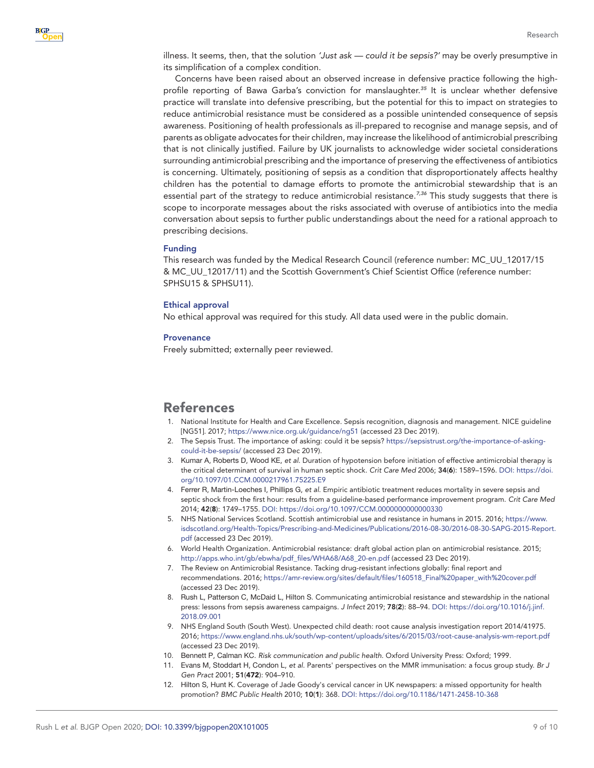

illness. It seems, then, that the solution *'Just ask — could it be sepsis?'* may be overly presumptive in its simplification of a complex condition.

Concerns have been raised about an observed increase in defensive practice following the highprofile reporting of Bawa Garba's conviction for manslaughter.*[35](#page-9-13)* It is unclear whether defensive practice will translate into defensive prescribing, but the potential for this to impact on strategies to reduce antimicrobial resistance must be considered as a possible unintended consequence of sepsis awareness. Positioning of health professionals as ill-prepared to recognise and manage sepsis, and of parents as obligate advocates for their children, may increase the likelihood of antimicrobial prescribing that is not clinically justified. Failure by UK journalists to acknowledge wider societal considerations surrounding antimicrobial prescribing and the importance of preserving the effectiveness of antibiotics is concerning. Ultimately, positioning of sepsis as a condition that disproportionately affects healthy children has the potential to damage efforts to promote the antimicrobial stewardship that is an essential part of the strategy to reduce antimicrobial resistance.<sup>[7,36](#page-8-10)</sup> This study suggests that there is scope to incorporate messages about the risks associated with overuse of antibiotics into the media conversation about sepsis to further public understandings about the need for a rational approach to prescribing decisions.

#### Funding

This research was funded by the Medical Research Council (reference number: MC\_UU\_12017/15 & MC\_UU\_12017/11) and the Scottish Government's Chief Scientist Office (reference number: SPHSU15 & SPHSU11).

#### Ethical approval

No ethical approval was required for this study. All data used were in the public domain.

#### **Provenance**

Freely submitted; externally peer reviewed.

## References

- <span id="page-8-0"></span>1. National Institute for Health and Care Excellence. Sepsis recognition, diagnosis and management. NICE guideline [NG51]. 2017;<https://www.nice.org.uk/guidance/ng51>(accessed 23 Dec 2019).
- <span id="page-8-1"></span>2. The Sepsis Trust. The importance of asking: could it be sepsis? [https://sepsistrust.org/the-importance-of-asking](https://sepsistrust.org/the-importance-of-asking-could-it-be-sepsis/)[could-it-be-sepsis/](https://sepsistrust.org/the-importance-of-asking-could-it-be-sepsis/) (accessed 23 Dec 2019).
- <span id="page-8-7"></span>3. Kumar A, Roberts D, Wood KE, *et al*. Duration of hypotension before initiation of effective antimicrobial therapy is the critical determinant of survival in human septic shock. *Crit Care Med* 2006; 34(6): 1589–1596. DOI: [https://doi.](https://doi.org/10.1097/01.CCM.0000217961.75225.E9) [org/10.1097/01.CCM.0000217961.75225.E9](https://doi.org/10.1097/01.CCM.0000217961.75225.E9)
- <span id="page-8-8"></span>4. Ferrer R, Martin-Loeches I, Phillips G, *et al*. Empiric antibiotic treatment reduces mortality in severe sepsis and septic shock from the first hour: results from a guideline-based performance improvement program. *Crit Care Med* 2014; 42(8): 1749–1755. DOI:<https://doi.org/10.1097/CCM.0000000000000330>
- <span id="page-8-2"></span>5. NHS National Services Scotland. Scottish antimicrobial use and resistance in humans in 2015. 2016; [https://www.](https://www.isdscotland.org/Health-Topics/Prescribing-and-Medicines/Publications/2016-08-30/2016-08-30-SAPG-2015-Report.pdf) [isdscotland.org/Health-Topics/Prescribing-and-Medicines/Publications/2016-08-30/2016-08-30-SAPG-2015-Report.](https://www.isdscotland.org/Health-Topics/Prescribing-and-Medicines/Publications/2016-08-30/2016-08-30-SAPG-2015-Report.pdf) [pdf](https://www.isdscotland.org/Health-Topics/Prescribing-and-Medicines/Publications/2016-08-30/2016-08-30-SAPG-2015-Report.pdf) (accessed 23 Dec 2019).
- <span id="page-8-3"></span>6. World Health Organization. Antimicrobial resistance: draft global action plan on antimicrobial resistance. 2015; [http://apps.who.int/gb/ebwha/pdf\\_files/WHA68/A68\\_20-en.pdf](http://apps.who.int/gb/ebwha/pdf_files/WHA68/A68_20-en.pdf) (accessed 23 Dec 2019).
- <span id="page-8-10"></span>7. The Review on Antimicrobial Resistance. Tacking drug-resistant infections globally: final report and recommendations. 2016; [https://amr-review.org/sites/default/files/160518\\_Final%20paper\\_with%20cover.pdf](https://amr-review.org/sites/default/files/160518_Final%20paper_with%20cover.pdf) (accessed 23 Dec 2019).
- <span id="page-8-4"></span>8. Rush L, Patterson C, McDaid L, Hilton S. Communicating antimicrobial resistance and stewardship in the national press: lessons from sepsis awareness campaigns. *J Infect* 2019; 78(2): 88–94. DOI: [https://doi.org/10.1016/j.jinf.](https://doi.org/10.1016/j.jinf.2018.09.001) [2018.09.001](https://doi.org/10.1016/j.jinf.2018.09.001)
- <span id="page-8-5"></span>9. NHS England South (South West). Unexpected child death: root cause analysis investigation report 2014/41975. 2016;<https://www.england.nhs.uk/south/wp-content/uploads/sites/6/2015/03/root-cause-analysis-wm-report.pdf> (accessed 23 Dec 2019).
- <span id="page-8-6"></span>10. Bennett P, Calman KC. *Risk communication and public health*. Oxford University Press: Oxford; 1999.
- <span id="page-8-9"></span>11. Evans M, Stoddart H, Condon L, *et al*. Parents' perspectives on the MMR immunisation: a focus group study. *Br J Gen Pract* 2001; 51(472): 904–910.
- 12. Hilton S, Hunt K. Coverage of Jade Goody's cervical cancer in UK newspapers: a missed opportunity for health promotion? *BMC Public Health* 2010; 10(1): 368. DOI:<https://doi.org/10.1186/1471-2458-10-368>